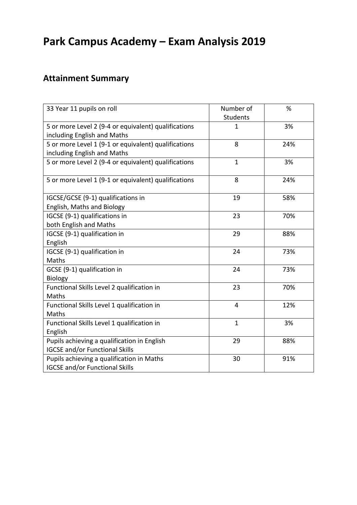# **Park Campus Academy – Exam Analysis 2019**

## **Attainment Summary**

| 33 Year 11 pupils on roll                            | Number of       | %   |
|------------------------------------------------------|-----------------|-----|
|                                                      |                 |     |
|                                                      | <b>Students</b> |     |
| 5 or more Level 2 (9-4 or equivalent) qualifications | $\overline{1}$  | 3%  |
| including English and Maths                          |                 |     |
| 5 or more Level 1 (9-1 or equivalent) qualifications | 8               | 24% |
| including English and Maths                          |                 |     |
| 5 or more Level 2 (9-4 or equivalent) qualifications | $\mathbf{1}$    | 3%  |
| 5 or more Level 1 (9-1 or equivalent) qualifications | 8               | 24% |
| IGCSE/GCSE (9-1) qualifications in                   | 19              | 58% |
| English, Maths and Biology                           |                 |     |
| IGCSE (9-1) qualifications in                        | 23              | 70% |
| both English and Maths                               |                 |     |
| IGCSE (9-1) qualification in                         | 29              | 88% |
| English                                              |                 |     |
| IGCSE (9-1) qualification in                         | 24              | 73% |
| Maths                                                |                 |     |
| GCSE (9-1) qualification in                          | 24              | 73% |
| <b>Biology</b>                                       |                 |     |
| Functional Skills Level 2 qualification in           | 23              | 70% |
| Maths                                                |                 |     |
| Functional Skills Level 1 qualification in           | $\overline{4}$  | 12% |
| Maths                                                |                 |     |
| Functional Skills Level 1 qualification in           | $\mathbf{1}$    | 3%  |
| English                                              |                 |     |
| Pupils achieving a qualification in English          | 29              | 88% |
| <b>IGCSE and/or Functional Skills</b>                |                 |     |
| Pupils achieving a qualification in Maths            | 30              | 91% |
| <b>IGCSE and/or Functional Skills</b>                |                 |     |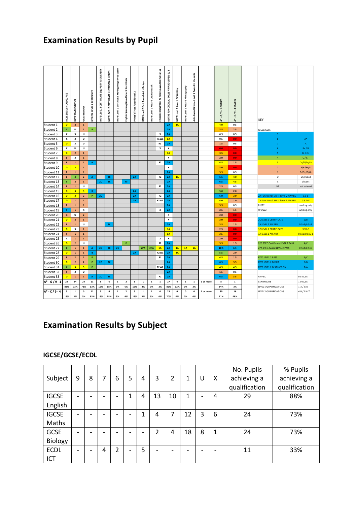## **Examination Results by Pupil**

|                                                          | GCSE ENGLISH LANGUAGE | GCSE MATHEMATICS                  | <b>GCSE BIOLOGY</b>         | CTECDL LEVEL 2 CERTIFICATE | <b>JCFE LEVEL 2 CERTIFICATE EQUAL ITY &amp; DIVERSITY</b> | <b>NCFE LEVEL 2 CERTIFICATE NUTRITION &amp; HEALTH</b> | <b>Production</b><br>ICFE Level 2 Certificate Moving Image | English Speaking Board level 2 Certificate                                                                 | Prince's Trust Award Level 2 | BTEC Level 2 First Award Art + Design | <b>NCFE Level 2 Award Creative Craft</b> | ENGLISH FUNCTIONAL SKILLS AWARD LEVELS 1/2 | <b>VATHS FUNCTIONAL SKILLS AW ARD LEVELS 1/2</b> | <b>NCFE Level 1 Award CV Writing</b> | ICFE Level 1 Award Photography | Arts Award Bronze Level 1 Award in the Arts |                          |                | $G/9 - 1$ GRADES<br>å | GRADES<br>$-C/9 - 4$ |                                            | KEY                                               |                                          |                          |
|----------------------------------------------------------|-----------------------|-----------------------------------|-----------------------------|----------------------------|-----------------------------------------------------------|--------------------------------------------------------|------------------------------------------------------------|------------------------------------------------------------------------------------------------------------|------------------------------|---------------------------------------|------------------------------------------|--------------------------------------------|--------------------------------------------------|--------------------------------------|--------------------------------|---------------------------------------------|--------------------------|----------------|-----------------------|----------------------|--------------------------------------------|---------------------------------------------------|------------------------------------------|--------------------------|
| Student 1                                                | D                     | $\overline{\mathbf{2}}$           | $\mathbf 1$                 |                            |                                                           |                                                        |                                                            |                                                                                                            |                              |                                       |                                          |                                            | 2A                                               | 1A                                   |                                |                                             |                          |                | 4.0                   | 0.5                  |                                            |                                                   |                                          |                          |
| Student 2<br>Student 3                                   | $\mathbf{C}$<br>x     | U<br>x                            | $\mathbf 1$<br>U            | P                          |                                                           |                                                        |                                                            |                                                                                                            |                              |                                       |                                          | $\boldsymbol{\mathsf{x}}$                  | 2A<br>2A                                         |                                      |                                |                                             |                          |                | 3.5<br>0.5            | 2.5<br>0.5           |                                            | IGCSE/GCSE                                        | 9                                        |                          |
| Student 4                                                | x                     | x                                 | U                           |                            |                                                           |                                                        |                                                            |                                                                                                            |                              |                                       |                                          | R1W1                                       | 1A                                               |                                      |                                |                                             |                          |                | 0.5                   | 0.0                  |                                            |                                                   | 8                                        | $A^*$                    |
| Student 5                                                | D                     | x                                 | U                           |                            |                                                           |                                                        |                                                            |                                                                                                            |                              |                                       |                                          | R2                                         | 2A                                               |                                      |                                |                                             |                          |                | 1.5                   | 0.5                  |                                            |                                                   |                                          | $\overline{A}$           |
| Student 6                                                | X<br>D                | U<br>$\overline{2}$               | U<br>$\mathbf{1}$           |                            |                                                           |                                                        |                                                            |                                                                                                            |                              |                                       |                                          | x                                          | $\pmb{\mathsf{x}}$<br>1A                         |                                      |                                |                                             |                          |                | 0.0<br>3.5            | 0.0<br>$0.0\,$       |                                            |                                                   | -5                                       | $B+ / B$<br>$B - / C +$  |
| Student 7<br>Student 8                                   | E                     | x                                 | $\mathbf 1$                 |                            |                                                           |                                                        |                                                            |                                                                                                            |                              |                                       |                                          |                                            | x                                                |                                      |                                |                                             |                          |                | 2.0                   | 0.0                  |                                            |                                                   | $\overline{4}$                           | $C/C-$                   |
| Student 9                                                | E                     | $\mathbf 1$                       | $\mathbf 1$                 | A                          |                                                           |                                                        |                                                            |                                                                                                            |                              |                                       |                                          | R <sub>2</sub>                             | 2A                                               |                                      |                                |                                             |                          |                | 4.5                   | $1.5$                |                                            |                                                   | $\overline{\mathbf{3}}$                  | $D+/D/D-/E+$             |
| Student 10                                               | D                     | 3                                 | $\mathbf 1$                 |                            |                                                           |                                                        |                                                            |                                                                                                            |                              |                                       |                                          |                                            | $\pmb{\mathsf{x}}$                               |                                      |                                |                                             |                          |                | 3.0                   | 0.0                  |                                            |                                                   | $\overline{2}$                           | $E/E$ -/F+/F             |
| Student 11                                               | E                     | $\mathbf 1$                       | $\mathbf{1}$                |                            |                                                           |                                                        |                                                            |                                                                                                            |                              |                                       |                                          |                                            | 2A                                               |                                      |                                |                                             |                          |                | 3.5                   | 0.5                  |                                            |                                                   | $\overline{1}$                           | $F$ -/G+/G/G             |
| Student 12<br>Student 13                                 | E<br>c                | $\,$ 4 $\,$<br>$\mathbf{2}$       | $\mathbf{2}$<br>$\mathbf 1$ | $\mathbf A$                | 2C                                                        | 2C<br>2C                                               |                                                            | $\mathsf{M}% _{T}=\mathsf{M}_{T}\!\left( a,b\right) ,\ \mathsf{M}_{T}=\mathsf{M}_{T}\!\left( a,b\right) ,$ | 2A                           |                                       |                                          | R2                                         | 2A<br>2A                                         | 1A                                   |                                |                                             |                          |                | 6.5<br>6.5            | 4.0<br>4.5           |                                            |                                                   | U<br>Х                                   | ungraded<br>absent       |
| Student 14                                               | F                     | $\mathbf 1$                       | U                           |                            |                                                           |                                                        |                                                            |                                                                                                            |                              |                                       |                                          | R <sub>2</sub>                             | 2A                                               |                                      |                                |                                             |                          |                | 2.5                   | 0.5                  |                                            |                                                   | <b>NE</b>                                | not entered              |
| Student 15                                               | D                     | $\mathbf{3}$                      | $\overline{\mathbf{3}}$     | в                          |                                                           |                                                        |                                                            |                                                                                                            | 2A                           |                                       |                                          |                                            | 2A                                               |                                      |                                |                                             |                          |                | 5.0                   | 2.0                  |                                            |                                                   |                                          |                          |
| Student 16                                               | D                     | 3                                 | $\mathbf{2}$                | P                          | 2C                                                        |                                                        |                                                            |                                                                                                            | 2A                           |                                       |                                          | R <sub>2</sub>                             | 2A                                               |                                      |                                |                                             |                          |                | 6.0                   | 3.0                  |                                            |                                                   | 2A Functional Skills Level 2 AWARD       | 0.5B                     |
| Student 17<br>Student 18                                 | D<br>F                | $\mathbf 1$<br>$\mathbf 1$        | $\mathbf 1$<br>$\mathbf 1$  |                            |                                                           |                                                        |                                                            |                                                                                                            | 2A                           |                                       |                                          | <b>R2W2</b>                                | 2A<br>2A                                         |                                      |                                |                                             |                          |                | 4.0<br>3.5            | $1.0$<br>0.5         |                                            | R1/R2                                             | 1A Functional Skills level 1 AWARD       | $0.5D-E$<br>reading only |
| Student 19                                               | 5                     | $\mathbf 1$                       | x                           |                            |                                                           |                                                        |                                                            |                                                                                                            |                              |                                       |                                          | x                                          | 2A                                               |                                      |                                |                                             |                          |                | 2.5                   | $1.5\,$              |                                            | W1/W2                                             |                                          | writing only             |
| Student 20                                               | G                     | U                                 | $\mathbf{2}$                |                            |                                                           |                                                        |                                                            |                                                                                                            |                              |                                       |                                          |                                            | x                                                |                                      |                                |                                             |                          |                | 2.0                   | $0.0\,$              |                                            |                                                   |                                          |                          |
| Student 21                                               | D                     | $\overline{2}$                    | $\mathbf{1}$                |                            |                                                           |                                                        |                                                            |                                                                                                            |                              |                                       |                                          |                                            | $\pmb{\mathsf{x}}$                               |                                      |                                |                                             |                          |                | 3.0                   | 0.0                  |                                            | 2C LEVEL 2 CERTIFICATE                            |                                          | 6/B                      |
| Student 22<br>Student 23                                 | E<br>D                | $\mathbf 1$<br>x                  | U<br>$\mathbf 1$            |                            |                                                           | 2C                                                     |                                                            |                                                                                                            |                              |                                       |                                          |                                            | 2A<br>1A                                         |                                      |                                |                                             |                          |                | 3.5<br>2.5            | 1.5<br>0.0           |                                            | 2A LEVEL 2 AWARD<br><b>1C LEVEL 1 CERTIFICATE</b> |                                          | 0.5x6/0.5xB<br>$3/D-E$   |
| Student 24                                               | F                     | $\mathbf 1$                       | $\mathbf 1$                 |                            |                                                           |                                                        |                                                            |                                                                                                            |                              |                                       |                                          |                                            | 1A                                               |                                      |                                |                                             |                          |                | 3.5                   | 0.0                  |                                            | 1A LEVEL 1 AWARD                                  |                                          | $0.5x3/0.5xD - E$        |
| Student 25                                               | $\pmb{\mathsf{x}}$    | $\mathbf 1$                       | $\mathbf 1$                 |                            |                                                           |                                                        |                                                            |                                                                                                            |                              |                                       |                                          | $\pmb{\mathsf{x}}$                         | $\pmb{\times}$                                   |                                      |                                |                                             |                          |                | 2.0                   | 0.0                  |                                            |                                                   |                                          |                          |
| Student 26                                               | D                     | $\mathbf{2}$                      | U                           |                            |                                                           |                                                        |                                                            | P                                                                                                          |                              |                                       |                                          | R2                                         | 2A                                               |                                      |                                |                                             |                          |                | 3.5                   | $1.5\,$              |                                            |                                                   | 2PC BTEC Certificate LEVEL 2 PASS        | 4/C                      |
| Student 27<br>Student 28                                 | $\mathbf{c}$<br>D     | $\mathbf 1$<br>$\mathbf 1$        | $\mathbf 1$<br>$\mathbf 1$  | A<br>B                     | 2C                                                        | 2C                                                     | 2C                                                         |                                                                                                            | 2A                           | 2PA                                   | 2PA                                      | 1A<br>R2W1                                 | 2A<br>2A                                         | 1A<br>1A                             | 1A                             | 1A                                          |                          |                | 10.5<br>5.5           | 6.5<br>2.0           |                                            |                                                   | 2PA BTEC Award LEVEL 2 PASS              | 0.5x4/0.5xC              |
| Student 29                                               | E                     | $\mathbf{2}$                      | $\mathbf{1}$                | P                          |                                                           |                                                        |                                                            |                                                                                                            |                              |                                       |                                          | R1                                         | 2A                                               |                                      |                                |                                             |                          |                | 4.5                   | $1.5\,$              |                                            | <b>BTEC LEVEL 2 PASS</b>                          |                                          | 4/C                      |
| Student 30                                               | D                     | $\mathbf{2}$                      | $\mathbf{2}$                | P                          | 2C                                                        | 2C                                                     |                                                            |                                                                                                            |                              |                                       |                                          |                                            | 2A                                               |                                      |                                |                                             |                          |                | 6.5                   | 3.5                  |                                            | <b>BTEC LEVEL 2 MERIT</b>                         |                                          | 6/B                      |
| Student 31                                               | $\mathbf{c}$          | 3                                 | $\overline{\mathbf{3}}$     | P                          |                                                           |                                                        |                                                            |                                                                                                            |                              |                                       |                                          | <b>R2W2</b>                                | 2A                                               |                                      |                                |                                             |                          |                | 4.5                   | 4.5                  |                                            |                                                   | <b>STEC LEVEL 2 DISTINCTION</b>          | 7/A                      |
| Student 32<br>Student 33                                 | F<br>D                | $\pmb{\mathsf{x}}$<br>$\mathbf 1$ | U<br>$\mathbf 1$            | A                          | $_{\rm 2C}$                                               | 2C                                                     |                                                            |                                                                                                            |                              |                                       |                                          | R <sub>2</sub>                             | 2A<br>2A                                         |                                      |                                |                                             |                          |                | $1.5\,$<br>6.5        | 0.5<br>3.5           |                                            | AWARD                                             |                                          | 0.5 GCSE                 |
| $A^* - G / 9 - 1$                                        | 29                    | 24                                | 24                          | ${\bf 11}$                 | 5                                                         | 6                                                      | $\mathbf{1}$                                               | $\overline{2}$                                                                                             | 5                            | $\mathbf{1}$                          | $\mathbf{1}$                             | $\mathbf{1}$                               | 27                                               | $\overline{4}$                       | $\mathbf{1}$                   | $\mathbf{1}$                                | 5 or more                |                | 8                     | $\mathbf 1$          |                                            | CERTIFICATE                                       |                                          | 1.0 GCSE                 |
|                                                          | 88%                   | 73%                               | 73%                         | 33%                        | 15%                                                       | 18%                                                    | 3%                                                         | 6%                                                                                                         | 15%                          | 3%                                    | 3%                                       | 3%                                         | 82%                                              | 12%                                  | 3%                             | 3%                                          |                          |                | 24%                   | 3%                   |                                            | LEVEL 1 QUALIFICATIONS                            |                                          | $1-3/$ G-D               |
| A* - C / 9 - 4                                           | 5<br>15%              | $\mathbf{1}$<br>3%                | $\mathbf{0}$<br>0%          | 11<br>33%                  | 5<br>15%                                                  | 6<br>18%                                               | $\mathbf{1}$<br>3%                                         | $\overline{2}$<br>6%                                                                                       | 5<br>15%                     | $\mathbf{1}$<br>3%                    | $\mathbf{1}$<br>3%                       | $\mathbf 0$<br>0%                          | 23<br>70%                                        | $\mathbf{0}$<br>0%                   | $\mathbf{0}$<br>0%             | $\mathbf{0}$<br>0%                          | 1 or more                |                | 30<br>91%             | 16<br>48%            |                                            | LEVEL 2 QUALIFICATIONS                            |                                          | 4-9 / C-A**              |
| <b>Examination Results by Subject</b><br>IGCSE/GCSE/ECDL |                       |                                   |                             |                            |                                                           |                                                        |                                                            |                                                                                                            |                              |                                       |                                          |                                            |                                                  |                                      |                                |                                             |                          |                |                       |                      |                                            |                                                   |                                          |                          |
| Subject                                                  |                       | 9                                 |                             | 8                          | $\overline{7}$                                            |                                                        | 6                                                          | 5                                                                                                          |                              | $\overline{4}$                        |                                          | 3                                          |                                                  | $\overline{2}$                       | $\mathbf{1}$                   |                                             | U                        | X              |                       |                      | No. Pupils<br>achieving a<br>qualification |                                                   | % Pupils<br>achieving a<br>qualification |                          |
| <b>IGCSE</b><br>English                                  |                       | $\blacksquare$                    |                             | $\blacksquare$             | $\blacksquare$                                            |                                                        | $\blacksquare$                                             | $\mathbf{1}$                                                                                               |                              | $\overline{4}$                        |                                          | 13                                         |                                                  | 10                                   | $\mathbf{1}$                   |                                             | $\blacksquare$           | $\overline{4}$ |                       |                      | 29                                         |                                                   | 88%                                      |                          |
| <b>IGCSE</b>                                             |                       | $\qquad \qquad \blacksquare$      |                             | $\overline{a}$             | Ξ.                                                        |                                                        | $\qquad \qquad \blacksquare$                               |                                                                                                            | $\blacksquare$               | $\mathbf{1}$                          |                                          | $\overline{4}$                             |                                                  | $\overline{7}$                       | 12                             |                                             | $\overline{3}$           | 6              |                       |                      | 24                                         |                                                   | 73%                                      |                          |
| Maths<br><b>GCSE</b>                                     |                       | $\blacksquare$                    |                             | $\blacksquare$             | -                                                         |                                                        | $\overline{\phantom{a}}$                                   |                                                                                                            | $\qquad \qquad \blacksquare$ | $\blacksquare$                        |                                          | $\overline{2}$                             |                                                  | $\overline{4}$                       | 18                             |                                             | 8                        | $\mathbf{1}$   |                       |                      | 24                                         |                                                   | 73%                                      |                          |
| Biology                                                  |                       |                                   |                             |                            |                                                           |                                                        |                                                            |                                                                                                            |                              |                                       |                                          |                                            |                                                  |                                      |                                |                                             |                          |                |                       |                      |                                            |                                                   |                                          |                          |
| <b>ECDL</b>                                              |                       |                                   |                             |                            | 4                                                         |                                                        | $\overline{2}$                                             | -                                                                                                          |                              | 5                                     |                                          | ÷,                                         |                                                  |                                      |                                |                                             | $\overline{\phantom{0}}$ | ÷              |                       |                      | 11                                         |                                                   | 33%                                      |                          |

## **Examination Results by Subject**

### **IGCSE/GCSE/ECDL**

| Subject      | 9                        | 8 | 7 | 6              | 5 | 4 | 3  | 2  | 1  | U | X | No. Pupils<br>achieving a | % Pupils<br>achieving a |
|--------------|--------------------------|---|---|----------------|---|---|----|----|----|---|---|---------------------------|-------------------------|
|              |                          |   |   |                |   |   |    |    |    |   |   | qualification             | qualification           |
| <b>IGCSE</b> | $\overline{\phantom{0}}$ |   |   |                | 1 | 4 | 13 | 10 | 1  |   | 4 | 29                        | 88%                     |
| English      |                          |   |   |                |   |   |    |    |    |   |   |                           |                         |
| <b>IGCSE</b> | -                        |   | - |                |   | 1 | 4  | 7  | 12 | 3 | 6 | 24                        | 73%                     |
| Maths        |                          |   |   |                |   |   |    |    |    |   |   |                           |                         |
| <b>GCSE</b>  | -                        |   | - |                |   |   | 2  | 4  | 18 | 8 | 1 | 24                        | 73%                     |
| Biology      |                          |   |   |                |   |   |    |    |    |   |   |                           |                         |
| <b>ECDL</b>  | $\overline{\phantom{0}}$ |   | 4 | $\overline{2}$ |   | 5 |    |    |    |   |   | 11                        | 33%                     |
| ICT          |                          |   |   |                |   |   |    |    |    |   |   |                           |                         |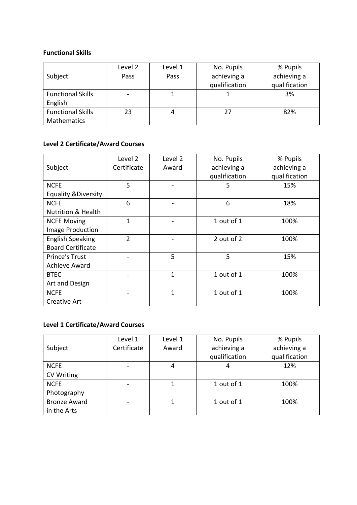#### **Functional Skills**

|                          | Level 2 | Level 1 | No. Pupils    | % Pupils      |
|--------------------------|---------|---------|---------------|---------------|
| Subject                  | Pass    | Pass    | achieving a   | achieving a   |
|                          |         |         | qualification | qualification |
| <b>Functional Skills</b> |         |         |               | 3%            |
| English                  |         |         |               |               |
| <b>Functional Skills</b> | 23      |         | 27            | 82%           |
| <b>Mathematics</b>       |         |         |               |               |

#### **Level 2 Certificate/Award Courses**

|                                 | Level 2        | Level 2 | No. Pupils    | % Pupils      |
|---------------------------------|----------------|---------|---------------|---------------|
| Subject                         | Certificate    | Award   | achieving a   | achieving a   |
|                                 |                |         | qualification | qualification |
| <b>NCFE</b>                     | 5              |         | 5             | 15%           |
| <b>Equality &amp; Diversity</b> |                |         |               |               |
| <b>NCFE</b>                     | 6              |         | 6             | 18%           |
| <b>Nutrition &amp; Health</b>   |                |         |               |               |
| <b>NCFE Moving</b>              | $\mathbf{1}$   |         | 1 out of 1    | 100%          |
| Image Production                |                |         |               |               |
| <b>English Speaking</b>         | $\overline{2}$ |         | 2 out of 2    | 100%          |
| <b>Board Certificate</b>        |                |         |               |               |
| Prince's Trust                  |                | 5       | 5             | 15%           |
| <b>Achieve Award</b>            |                |         |               |               |
| <b>BTEC</b>                     |                | 1       | 1 out of 1    | 100%          |
| Art and Design                  |                |         |               |               |
| <b>NCFE</b>                     |                | 1       | 1 out of 1    | 100%          |
| Creative Art                    |                |         |               |               |

#### **Level 1 Certificate/Award Courses**

|                     | Level 1     | Level 1 | No. Pupils    | % Pupils      |
|---------------------|-------------|---------|---------------|---------------|
| Subject             | Certificate | Award   | achieving a   | achieving a   |
|                     |             |         | qualification | qualification |
| <b>NCFE</b>         |             | 4       | 4             | 12%           |
| <b>CV Writing</b>   |             |         |               |               |
| <b>NCFE</b>         |             |         | 1 out of 1    | 100%          |
| Photography         |             |         |               |               |
| <b>Bronze Award</b> |             |         | 1 out of 1    | 100%          |
| in the Arts         |             |         |               |               |